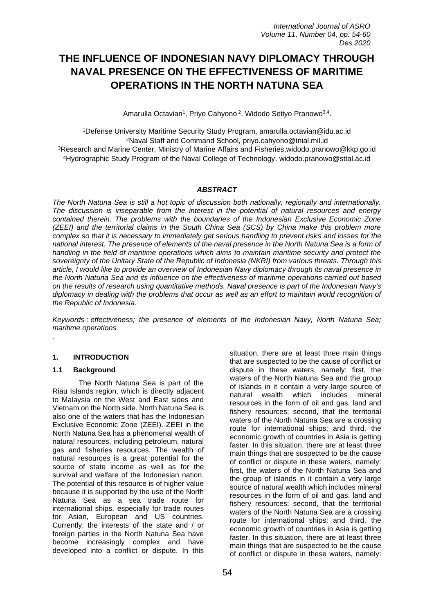# **THE INFLUENCE OF INDONESIAN NAVY DIPLOMACY THROUGH NAVAL PRESENCE ON THE EFFECTIVENESS OF MARITIME OPERATIONS IN THE NORTH NATUNA SEA**

Amarulla Octavian<sup>1</sup>, Priyo Cahyono<sup>2</sup>, Widodo Setiyo Pranowo<sup>3,4</sup>.

Defense University Maritime Security Study Program, amarulla.octavian@idu.ac.id Naval Staff and Command School, [priyo.cahyono@tnial.mil.id](mailto:priyo.cahyono@tnial.mil.id) Research and Marine Center, Ministry of Marine Affairs and Fisheries[,widodo.pranowo@kkp.go.id](mailto:widodo.pranowo@kkp.go.id) Hydrographic Study Program of the Naval College of Technology, widodo.pranowo@sttal.ac.id

# *ABSTRACT*

*The North Natuna Sea is still a hot topic of discussion both nationally, regionally and internationally. The discussion is inseparable from the interest in the potential of natural resources and energy contained therein. The problems with the boundaries of the Indonesian Exclusive Economic Zone (ZEEI) and the territorial claims in the South China Sea (SCS) by China make this problem more complex so that it is necessary to immediately get serious handling to prevent risks and losses for the national interest. The presence of elements of the naval presence in the North Natuna Sea is a form of handling in the field of maritime operations which aims to maintain maritime security and protect the sovereignty of the Unitary State of the Republic of Indonesia (NKRI) from various threats. Through this article, I would like to provide an overview of Indonesian Navy diplomacy through its naval presence in the North Natuna Sea and its influence on the effectiveness of maritime operations carried out based on the results of research using quantitative methods. Naval presence is part of the Indonesian Navy's diplomacy in dealing with the problems that occur as well as an effort to maintain world recognition of the Republic of Indonesia.*

*Keywords : effectiveness; the presence of elements of the Indonesian Navy, North Natuna Sea; maritime operations*

#### **1. INTRODUCTION**

# **1.1 Background**

*.*

The North Natuna Sea is part of the Riau Islands region, which is directly adjacent to Malaysia on the West and East sides and Vietnam on the North side. North Natuna Sea is also one of the waters that has the Indonesian Exclusive Economic Zone (ZEEI). ZEEI in the North Natuna Sea has a phenomenal wealth of natural resources, including petroleum, natural gas and fisheries resources. The wealth of natural resources is a great potential for the source of state income as well as for the survival and welfare of the Indonesian nation. The potential of this resource is of higher value because it is supported by the use of the North Natuna Sea as a sea trade route for international ships, especially for trade routes for Asian, European and US countries. Currently, the interests of the state and / or foreign parties in the North Natuna Sea have become increasingly complex and have developed into a conflict or dispute. In this

situation, there are at least three main things that are suspected to be the cause of conflict or dispute in these waters, namely: first, the waters of the North Natuna Sea and the group of islands in it contain a very large source of<br>
natural wealth which includes mineral which includes mineral resources in the form of oil and gas. land and fishery resources; second, that the territorial waters of the North Natuna Sea are a crossing route for international ships; and third, the economic growth of countries in Asia is getting faster. In this situation, there are at least three main things that are suspected to be the cause of conflict or dispute in these waters, namely: first, the waters of the North Natuna Sea and the group of islands in it contain a very large source of natural wealth which includes mineral resources in the form of oil and gas. land and fishery resources; second, that the territorial waters of the North Natuna Sea are a crossing route for international ships; and third, the economic growth of countries in Asia is getting faster. In this situation, there are at least three main things that are suspected to be the cause of conflict or dispute in these waters, namely: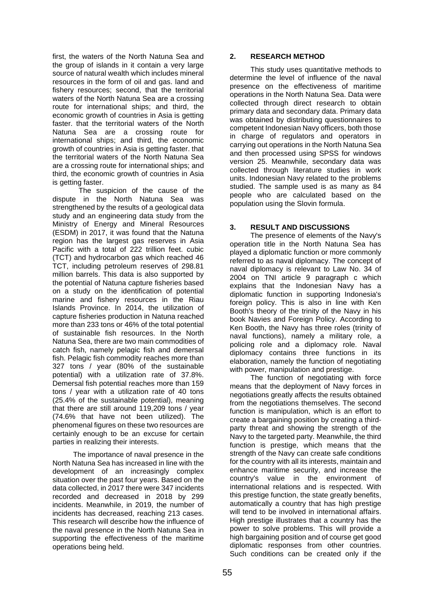first, the waters of the North Natuna Sea and the group of islands in it contain a very large source of natural wealth which includes mineral resources in the form of oil and gas. land and fishery resources; second, that the territorial waters of the North Natuna Sea are a crossing route for international ships; and third, the economic growth of countries in Asia is getting faster. that the territorial waters of the North Natuna Sea are a crossing route for international ships; and third, the economic growth of countries in Asia is getting faster. that the territorial waters of the North Natuna Sea are a crossing route for international ships; and third, the economic growth of countries in Asia is getting faster.

The suspicion of the cause of the dispute in the North Natuna Sea was strengthened by the results of a geological data study and an engineering data study from the Ministry of Energy and Mineral Resources (ESDM) in 2017, it was found that the Natuna region has the largest gas reserves in Asia Pacific with a total of 222 trillion feet. cubic (TCT) and hydrocarbon gas which reached 46 TCT, including petroleum reserves of 298.81 million barrels. This data is also supported by the potential of Natuna capture fisheries based on a study on the identification of potential marine and fishery resources in the Riau Islands Province. In 2014, the utilization of capture fisheries production in Natuna reached more than 233 tons or 46% of the total potential of sustainable fish resources. In the North Natuna Sea, there are two main commodities of catch fish, namely pelagic fish and demersal fish. Pelagic fish commodity reaches more than 327 tons / year (80% of the sustainable potential) with a utilization rate of 37.8%. Demersal fish potential reaches more than 159 tons / year with a utilization rate of 40 tons (25.4% of the sustainable potential), meaning that there are still around 119,209 tons / year (74.6% that have not been utilized). The phenomenal figures on these two resources are certainly enough to be an excuse for certain parties in realizing their interests.

The importance of naval presence in the North Natuna Sea has increased in line with the development of an increasingly complex situation over the past four years. Based on the data collected, in 2017 there were 347 incidents recorded and decreased in 2018 by 299 incidents. Meanwhile, in 2019, the number of incidents has decreased, reaching 213 cases. This research will describe how the influence of the naval presence in the North Natuna Sea in supporting the effectiveness of the maritime operations being held.

### **2. RESEARCH METHOD**

This study uses quantitative methods to determine the level of influence of the naval presence on the effectiveness of maritime operations in the North Natuna Sea. Data were collected through direct research to obtain primary data and secondary data. Primary data was obtained by distributing questionnaires to competent Indonesian Navy officers, both those in charge of regulators and operators in carrying out operations in the North Natuna Sea and then processed using SPSS for windows version 25. Meanwhile, secondary data was collected through literature studies in work units. Indonesian Navy related to the problems studied. The sample used is as many as 84 people who are calculated based on the population using the Slovin formula.

# **3. RESULT AND DISCUSSIONS**

The presence of elements of the Navy's operation title in the North Natuna Sea has played a diplomatic function or more commonly referred to as naval diplomacy. The concept of naval diplomacy is relevant to Law No. 34 of 2004 on TNI article 9 paragraph c which explains that the Indonesian Navy has a diplomatic function in supporting Indonesia's foreign policy. This is also in line with Ken Booth's theory of the trinity of the Navy in his book Navies and Foreign Policy. According to Ken Booth, the Navy has three roles (trinity of naval functions), namely a military role, a policing role and a diplomacy role. Naval diplomacy contains three functions in its elaboration, namely the function of negotiating with power, manipulation and prestige.

The function of negotiating with force means that the deployment of Navy forces in negotiations greatly affects the results obtained from the negotiations themselves. The second function is manipulation, which is an effort to create a bargaining position by creating a thirdparty threat and showing the strength of the Navy to the targeted party. Meanwhile, the third function is prestige, which means that the strength of the Navy can create safe conditions for the country with all its interests, maintain and enhance maritime security, and increase the country's value in the environment of international relations and is respected. With this prestige function, the state greatly benefits, automatically a country that has high prestige will tend to be involved in international affairs. High prestige illustrates that a country has the power to solve problems. This will provide a high bargaining position and of course get good diplomatic responses from other countries. Such conditions can be created only if the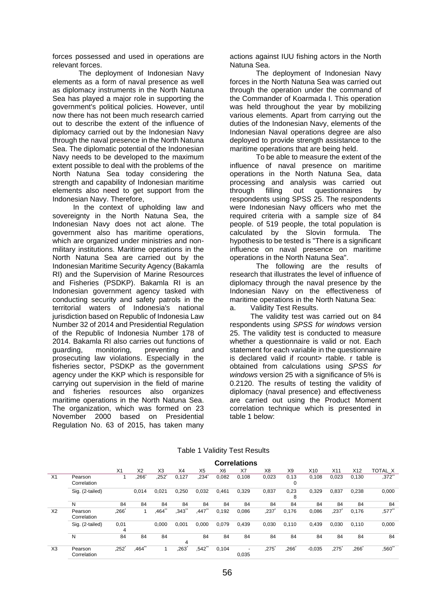forces possessed and used in operations are relevant forces.

The deployment of Indonesian Navy elements as a form of naval presence as well as diplomacy instruments in the North Natuna Sea has played a major role in supporting the government's political policies. However, until now there has not been much research carried out to describe the extent of the influence of diplomacy carried out by the Indonesian Navy through the naval presence in the North Natuna Sea. The diplomatic potential of the Indonesian Navy needs to be developed to the maximum extent possible to deal with the problems of the North Natuna Sea today considering the strength and capability of Indonesian maritime elements also need to get support from the Indonesian Navy. Therefore,

In the context of upholding law and sovereignty in the North Natuna Sea, the Indonesian Navy does not act alone. The government also has maritime operations, which are organized under ministries and nonmilitary institutions. Maritime operations in the North Natuna Sea are carried out by the Indonesian Maritime Security Agency (Bakamla RI) and the Supervision of Marine Resources and Fisheries (PSDKP). Bakamla RI is an Indonesian government agency tasked with conducting security and safety patrols in the territorial waters of Indonesia's national jurisdiction based on Republic of Indonesia Law Number 32 of 2014 and Presidential Regulation of the Republic of Indonesia Number 178 of 2014. Bakamla RI also carries out functions of guarding, monitoring, preventing and prosecuting law violations. Especially in the fisheries sector, PSDKP as the government agency under the KKP which is responsible for carrying out supervision in the field of marine and fisheries resources also organizes maritime operations in the North Natuna Sea. The organization, which was formed on 23 November 2000 based on Presidential Regulation No. 63 of 2015, has taken many

actions against IUU fishing actors in the North Natuna Sea.

The deployment of Indonesian Navy forces in the North Natuna Sea was carried out through the operation under the command of the Commander of Koarmada I. This operation was held throughout the year by mobilizing various elements. Apart from carrying out the duties of the Indonesian Navy, elements of the Indonesian Naval operations degree are also deployed to provide strength assistance to the maritime operations that are being held.

To be able to measure the extent of the influence of naval presence on maritime operations in the North Natuna Sea, data processing and analysis was carried out<br>through filling out questionnaires by through filling out questionnaires by respondents using SPSS 25. The respondents were Indonesian Navy officers who met the required criteria with a sample size of 84 people. of 519 people, the total population is calculated by the Slovin formula. The hypothesis to be tested is "There is a significant influence on naval presence on maritime operations in the North Natuna Sea".

The following are the results of research that illustrates the level of influence of diplomacy through the naval presence by the Indonesian Navy on the effectiveness of maritime operations in the North Natuna Sea: a. Validity Test Results.

The validity test was carried out on 84 respondents using *SPSS for windows* version 25. The validity test is conducted to measure whether a questionnaire is valid or not. Each statement for each variable in the questionnaire is declared valid if rcount> rtable. r table is obtained from calculations using *SPSS for windows* version 25 with a significance of 5% is 0.2120. The results of testing the validity of diplomacy (naval presence) and effectiveness are carried out using the Product Moment correlation technique which is presented in table 1 below:

|                |                        |                |           |                |       |                |       | <u> 991191919119</u> |       |                |                 |                     |                 |           |
|----------------|------------------------|----------------|-----------|----------------|-------|----------------|-------|----------------------|-------|----------------|-----------------|---------------------|-----------------|-----------|
|                |                        | X <sub>1</sub> | X2        | X <sub>3</sub> | X4    | X <sub>5</sub> | X6    | X7                   | X8    | X <sub>9</sub> | X <sub>10</sub> | X11                 | X <sub>12</sub> | TOTAL X   |
| X <sub>1</sub> | Pearson<br>Correlation |                | .266      | 252'           | 0,127 | .234           | 0,082 | 0.108                | 0,023 | 0,13<br>0      | 0,108           | 0,023               | 0.130           | ,372"     |
|                | Sig. (2-tailed)        |                | 0.014     | 0,021          | 0,250 | 0,032          | 0.461 | 0,329                | 0,837 | 0,23<br>8      | 0,329           | 0,837               | 0,238           | 0,000     |
|                | N                      | 84             | 84        | 84             | 84    | 84             | 84    | 84                   | 84    | 84             | 84              | 84                  | 84              | 84        |
| X <sub>2</sub> | Pearson<br>Correlation | $,266*$        |           | ,464"          | ,343" | .447**         | 0,192 | 0,086                | ,237* | 0.176          | 0,086           | ,237                | 0.176           | $,577$ ** |
|                | Sig. (2-tailed)        | 0,01<br>4      |           | 0.000          | 0,001 | 0,000          | 0,079 | 0.439                | 0,030 | 0.110          | 0,439           | 0,030               | 0.110           | 0,000     |
|                | N                      | 84             | 84        | 84             | 4     | 84             | 84    | 84                   | 84    | 84             | 84              | 84                  | 84              | 84        |
| X3             | Pearson<br>Correlation | $,252*$        | $,464$ ** |                | 263   | ,542           | 0,104 | 0,035                | ,275' | ,266           | $-0.035$        | $,275$ <sup>*</sup> | 266'            | ,560"     |

Table 1 Validity Test Results

**Correlations**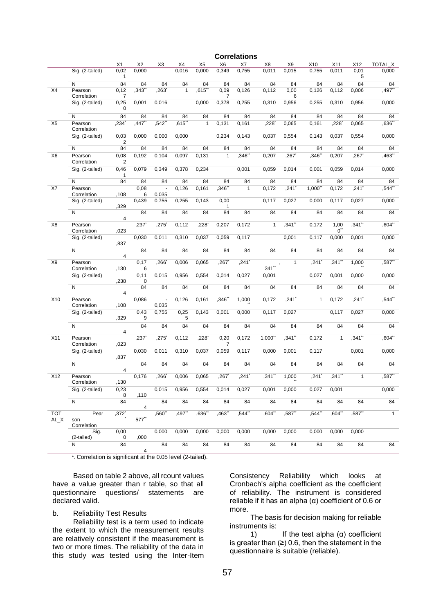|                |                         |                        |                     |                     |              |                |                | <b>Correlations</b> |              |              |        |                      |              |              |
|----------------|-------------------------|------------------------|---------------------|---------------------|--------------|----------------|----------------|---------------------|--------------|--------------|--------|----------------------|--------------|--------------|
|                |                         | X1                     | X2                  | X3                  | X4           | X <sub>5</sub> | X <sub>6</sub> | X7                  | X8           | X9           | X10    | X11                  | X12          | TOTAL X      |
|                | Sig. (2-tailed)         | 0,02<br>1              | 0,000               |                     | 0,016        | 0,000          | 0,349          | 0,755               | 0,011        | 0,015        | 0,755  | 0,011                | 0,01<br>5    | 0,000        |
|                | N                       | 84                     | 84                  | 84                  | 84           | 84             | 84             | 84                  | 84           | 84           | 84     | 84                   | 84           | 84           |
| X4             | Pearson<br>Correlation  | 0,12<br>7              | ,343'               | ,263                | $\mathbf{1}$ | ,615           | 0,09<br>7      | 0,126               | 0,112        | 0,00<br>6    | 0,126  | 0,112                | 0,006        | ,497**       |
|                | Sig. (2-tailed)         | 0,25<br>0              | 0,001               | 0,016               |              | 0,000          | 0,378          | 0,255               | 0,310        | 0,956        | 0,255  | 0,310                | 0,956        | 0,000        |
|                | N                       | 84                     | 84                  | 84                  | 84           | 84             | 84             | 84                  | 84           | 84           | 84     | 84                   | 84           | 84           |
| X <sub>5</sub> | Pearson<br>Correlation  | ,234'                  | $,447$ <sup>*</sup> | $,542$ <sup>*</sup> | ,615"        | $\mathbf{1}$   | 0,131          | 0,161               | ,228         | 0,065        | 0,161  | ,228                 | 0,065        | ,636         |
|                | Sig. (2-tailed)         | 0,03<br>$\overline{2}$ | 0,000               | 0,000               | 0,000        |                | 0,234          | 0,143               | 0,037        | 0,554        | 0,143  | 0,037                | 0,554        | 0,000        |
|                | N                       | 84                     | 84                  | 84                  | 84           | 84             | 84             | 84                  | 84           | 84           | 84     | 84                   | 84           | 84           |
| X <sub>6</sub> | Pearson<br>Correlation  | 0,08<br>$\overline{2}$ | 0,192               | 0,104               | 0,097        | 0,131          | $\mathbf{1}$   | ,346"               | 0,207        | ,267*        | ,346"  | 0,207                | ,267         | ,463"        |
|                | Sig. (2-tailed)         | 0,46<br>$\mathbf{1}$   | 0,079               | 0,349               | 0,378        | 0,234          |                | 0,001               | 0,059        | 0,014        | 0,001  | 0,059                | 0,014        | 0,000        |
|                | N                       | 84                     | 84                  | 84                  | 84           | 84             | 84             | 84                  | 84           | 84           | 84     | 84                   | 84           | 84           |
| X7             | Pearson<br>Correlation  | .108                   | 0,08<br>6           | 0,035               | 0,126        | 0,161          | ,346゛          | $\mathbf{1}$        | 0,172        | ,241'        | 1,000" | 0,172                | ,241'        | ,544"        |
|                | Sig. (2-tailed)         | .329                   | 0,439               | 0,755               | 0,255        | 0,143          | 0,00<br>1      |                     | 0,117        | 0,027        | 0,000  | 0,117                | 0,027        | 0,000        |
|                | N                       | $\overline{4}$         | 84                  | 84                  | 84           | 84             | 84             | 84                  | 84           | 84           | 84     | 84                   | 84           | 84           |
| X8             | Pearson<br>Correlation  | ,023                   | ,237'               | ,275                | 0,112        | .228           | 0,207          | 0,172               | $\mathbf{1}$ | .341**       | 0,172  | 1,00<br>$0$ "        | ,341"        | ,604"        |
|                | Sig. (2-tailed)         | ,837                   | 0,030               | 0,011               | 0,310        | 0,037          | 0,059          | 0,117               |              | 0,001        | 0,117  | 0,000                | 0,001        | 0,000        |
|                | N                       | 4                      | 84                  | 84                  | 84           | 84             | 84             | 84                  | 84           | 84           | 84     | 84                   | 84           | 84           |
| X9             | Pearson<br>Correlation  | ,130                   | 0,17<br>6           | ,266                | 0,006        | 0,065          | ,267           | , 241               | $341$ **     | $\mathbf{1}$ | ,241   | ,341                 | 1,000        | ,587"        |
|                | Sig. (2-tailed)         | ,238                   | 0,11<br>0           | 0,015               | 0,956        | 0,554          | 0,014          | 0,027               | 0,001        |              | 0,027  | 0,001                | 0,000        | 0,000        |
|                | N                       | $\overline{4}$         | 84                  | 84                  | 84           | 84             | 84             | 84                  | 84           | 84           | 84     | 84                   | 84           | 84           |
| X10            | Pearson<br>Correlation  | ,108                   | 0,086               | ÷,<br>0,035         | 0,126        | 0,161          | ,346"          | 1,000               | 0,172        | ,241         | 1      | 0,172                | ,241         | ,544"        |
|                | Sig. (2-tailed)         | ,329                   | 0,43<br>9           | 0,755               | 0,25<br>5    | 0,143          | 0,001          | 0,000               | 0,117        | 0,027        |        | 0,117                | 0,027        | 0,000        |
|                | N                       | $\overline{4}$         | 84                  | 84                  | 84           | 84             | 84             | 84                  | 84           | 84           | 84     | 84                   | 84           | 84           |
| X11            | Pearson<br>Correlation  | ,023                   | ,237                | ,275                | 0,112        | .228           | 0,20<br>7      | 0,172               | 1,000"       | ,341"        | 0,172  | $\mathbf{1}$         | ,341**       | ,604"        |
|                | Sig. (2-tailed)         | ,837                   | 0,030               | 0,011               | 0,310        | 0,037          | 0,059          | 0,117               | 0,000        | 0,001        | 0,117  |                      | 0,001        | 0,000        |
|                | N                       | 4                      | 84                  | 84                  | 84           | 84             | 84             | 84                  | 84           | 84           | 84     | 84                   | 84           | 84           |
| X12            | Pearson<br>Correlation  | ,130                   | 0,176               | 266                 | 0,006        | 0,065          | ,267           | ,241                | ,341**       | 1,000        | ,241   | $,341$ <sup>**</sup> | $\mathbf{1}$ | ,587**       |
|                | Sig. (2-tailed)         | 0,23                   |                     | 0,015               | 0,956        | 0,554          | 0,014          | 0,027               | 0,001        | 0,000        | 0,027  | 0,001                |              | 0,000        |
|                | $\overline{\mathsf{N}}$ | 8<br>84                | ,110                | 84                  | 84           | 84             | 84             | 84                  | 84           | 84           | 84     | 84                   | 84           | 84           |
| <b>TOT</b>     | Pear                    | ,372*                  | 4                   | ,560"               | ,497"        | ,636**         | ,463**         | ,544**              | ,604"        | ,587**       | ,544*  | ,604**               | ,587**       | $\mathbf{1}$ |
| AL_X           | son<br>Correlation      |                        | 577**               |                     |              |                |                |                     |              |              |        |                      |              |              |
|                | Sig.<br>(2-tailed)      | 0,00<br>0              | ,000                | 0,000               | 0,000        | 0,000          | 0,000          | 0,000               | 0,000        | 0,000        | 0,000  | 0,000                | 0,000        |              |
|                | Ν                       | 84                     | 4                   | 84                  | 84           | 84             | 84             | 84                  | 84           | 84           | 84     | 84                   | 84           | 84           |

\*. Correlation is significant at the 0.05 level (2-tailed).

Based on table 2 above, all rcount values have a value greater than r table, so that all questionnaire questions/ statements are questions/ statements are declared valid.

### b. Reliability Test Results

Reliability test is a term used to indicate the extent to which the measurement results are relatively consistent if the measurement is two or more times. The reliability of the data in this study was tested using the Inter-Item Consistency Reliability which looks at Cronbach's alpha coefficient as the coefficient of reliability. The instrument is considered reliable if it has an alpha  $(α)$  coefficient of 0.6 or more.

The basis for decision making for reliable instruments is:

1) If the test alpha  $(\alpha)$  coefficient is greater than  $(≥)$  0.6, then the statement in the questionnaire is suitable (reliable).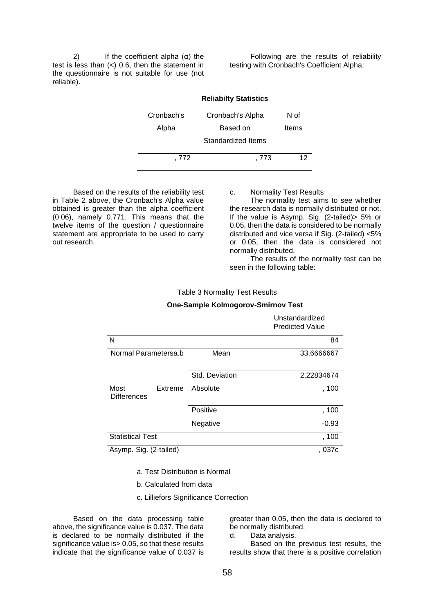2) If the coefficient alpha  $(α)$  the test is less than (<) 0.6, then the statement in the questionnaire is not suitable for use (not reliable).

Following are the results of reliability testing with Cronbach's Coefficient Alpha:

|            | <b>Reliabilty Statistics</b> |              |
|------------|------------------------------|--------------|
| Cronbach's | Cronbach's Alpha             | N of         |
| Alpha      | Based on                     | <b>Items</b> |
|            | Standardized Items           |              |
|            |                              |              |
| . 772      | . 773                        | 12           |

Based on the results of the reliability test in Table 2 above, the Cronbach's Alpha value obtained is greater than the alpha coefficient (0.06), namely 0.771. This means that the twelve items of the question / questionnaire statement are appropriate to be used to carry out research.

c. Normality Test Results

The normality test aims to see whether the research data is normally distributed or not. If the value is Asymp. Sig. (2-tailed)> 5% or 0.05, then the data is considered to be normally distributed and vice versa if Sig. (2-tailed) <5% or 0.05, then the data is considered not normally distributed.

The results of the normality test can be seen in the following table:

Table 3 Normality Test Results

#### **One-Sample Kolmogorov-Smirnov Test**

|                                       |                | Unstandardized<br><b>Predicted Value</b> |
|---------------------------------------|----------------|------------------------------------------|
| N                                     |                | 84                                       |
| Normal Parametersa.b                  | Mean           | 33.6666667                               |
|                                       | Std. Deviation | 2,22834674                               |
| Most<br>Extreme<br><b>Differences</b> | Absolute       | , 100                                    |
|                                       | Positive       | , 100                                    |
|                                       | Negative       | $-0.93$                                  |
| <b>Statistical Test</b>               |                | , 100                                    |
| Asymp. Sig. (2-tailed)                |                | . 037c                                   |

a. Test Distribution is Normal

b. Calculated from data

c. Lilliefors Significance Correction

Based on the data processing table above, the significance value is 0.037. The data is declared to be normally distributed if the significance value is > 0.05, so that these results indicate that the significance value of 0.037 is

greater than 0.05, then the data is declared to be normally distributed.

d. Data analysis.

Based on the previous test results, the results show that there is a positive correlation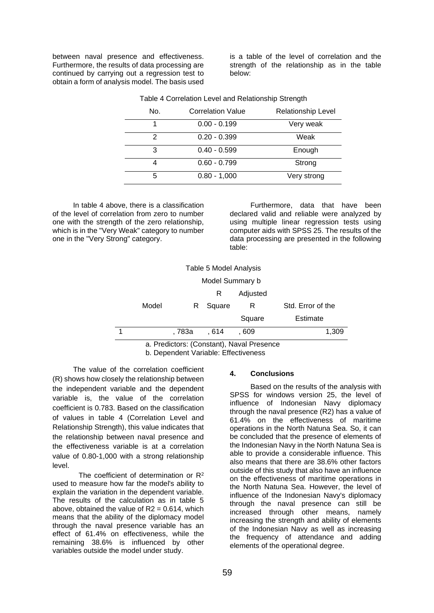between naval presence and effectiveness. Furthermore, the results of data processing are continued by carrying out a regression test to obtain a form of analysis model. The basis used

is a table of the level of correlation and the strength of the relationship as in the table below:

| No. | <b>Correlation Value</b> | <b>Relationship Level</b> |
|-----|--------------------------|---------------------------|
|     | $0.00 - 0.199$           | Very weak                 |
| 2   | $0.20 - 0.399$           | Weak                      |
| 3   | $0.40 - 0.599$           | Enough                    |
|     | $0.60 - 0.799$           | Strong                    |
| 5   | $0.80 - 1,000$           | Very strong               |

Table 4 Correlation Level and Relationship Strength

In table 4 above, there is a classification of the level of correlation from zero to number one with the strength of the zero relationship, which is in the "Very Weak" category to number one in the "Very Strong" category.

Furthermore, data that have been declared valid and reliable were analyzed by using multiple linear regression tests using computer aids with SPSS 25. The results of the data processing are presented in the following table:

| Table 5 Model Analysis                    |                                                |  |  |  |  |  |  |  |  |
|-------------------------------------------|------------------------------------------------|--|--|--|--|--|--|--|--|
|                                           | Model Summary b                                |  |  |  |  |  |  |  |  |
|                                           | Adjusted<br>R                                  |  |  |  |  |  |  |  |  |
|                                           | Model<br>Std. Error of the<br>Square<br>R<br>R |  |  |  |  |  |  |  |  |
| Square<br>Estimate                        |                                                |  |  |  |  |  |  |  |  |
| 1,309<br>. 783a<br>. 609<br>. 614         |                                                |  |  |  |  |  |  |  |  |
| a. Predictors: (Constant), Naval Presence |                                                |  |  |  |  |  |  |  |  |

b. Dependent Variable: Effectiveness

The value of the correlation coefficient (R) shows how closely the relationship between the independent variable and the dependent variable is, the value of the correlation coefficient is 0.783. Based on the classification of values in table 4 (Correlation Level and Relationship Strength), this value indicates that the relationship between naval presence and the effectiveness variable is at a correlation value of 0.80-1,000 with a strong relationship level.

The coefficient of determination or R<sup>2</sup> used to measure how far the model's ability to explain the variation in the dependent variable. The results of the calculation as in table 5 above, obtained the value of  $R2 = 0.614$ , which means that the ability of the diplomacy model through the naval presence variable has an effect of 61.4% on effectiveness, while the remaining 38.6% is influenced by other variables outside the model under study.

#### **4. Conclusions**

Based on the results of the analysis with SPSS for windows version 25, the level of influence of Indonesian Navy diplomacy through the naval presence (R2) has a value of 61.4% on the effectiveness of maritime operations in the North Natuna Sea. So, it can be concluded that the presence of elements of the Indonesian Navy in the North Natuna Sea is able to provide a considerable influence. This also means that there are 38.6% other factors outside of this study that also have an influence on the effectiveness of maritime operations in the North Natuna Sea. However, the level of influence of the Indonesian Navy's diplomacy through the naval presence can still be increased through other means, namely increasing the strength and ability of elements of the Indonesian Navy as well as increasing the frequency of attendance and adding elements of the operational degree.